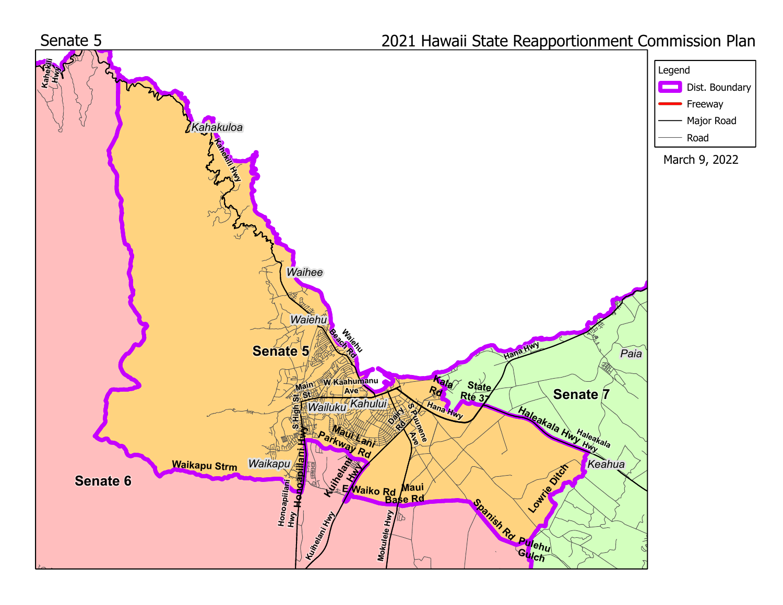